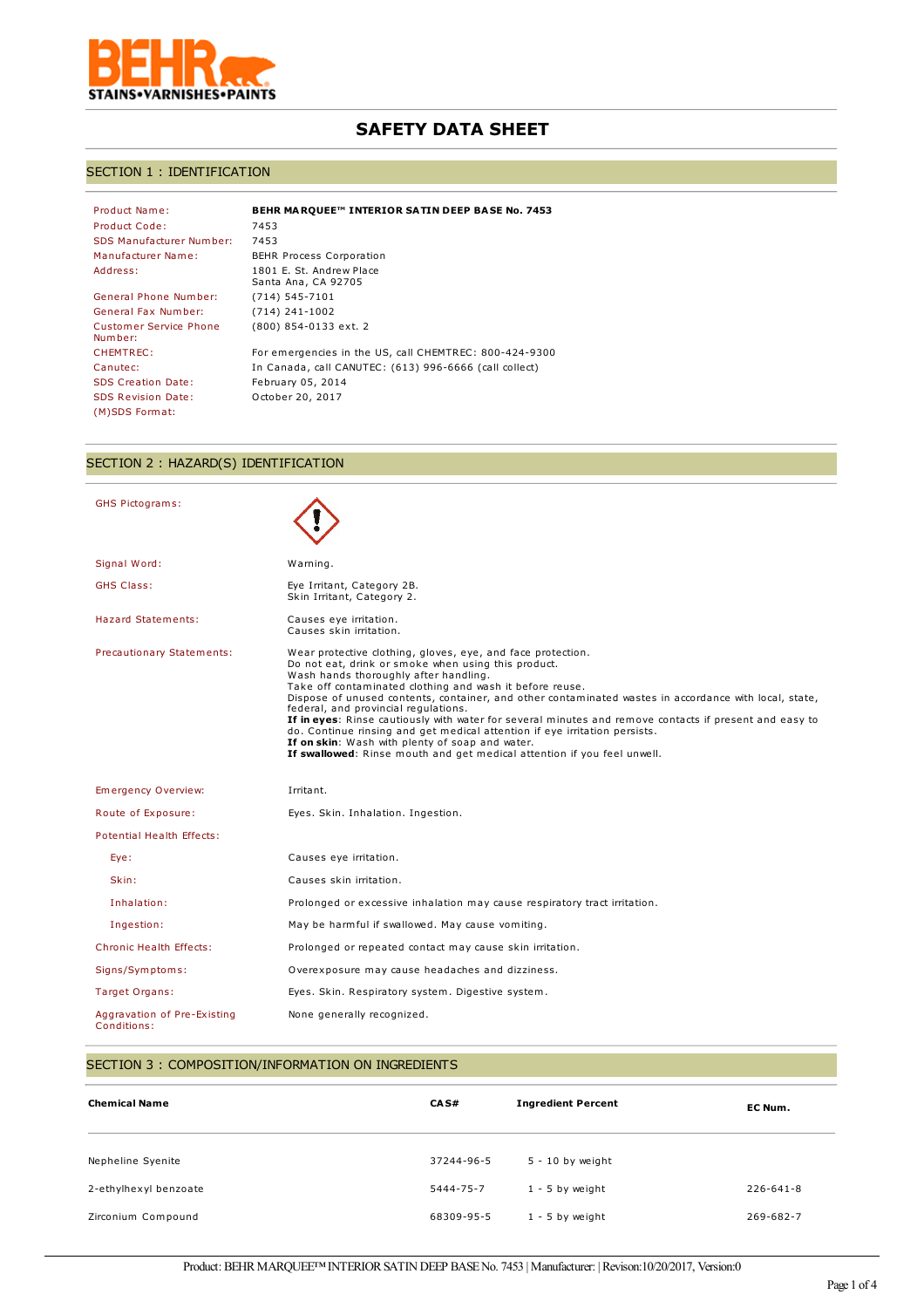

# **SAFETY DATA SHEET**

## SECTION 1 : IDENTIFICATION

| Product Name:                     | BEHR MARQUEE™ INTERIOR SATIN DEEP BASE No. 7453        |
|-----------------------------------|--------------------------------------------------------|
| Product Code:                     | 7453                                                   |
| SDS Manufacturer Number:          | 7453                                                   |
| Manufacturer Name:                | <b>BEHR Process Corporation</b>                        |
| Address:                          | 1801 E. St. Andrew Place<br>Santa Ana, CA 92705        |
| General Phone Number:             | $(714) 545 - 7101$                                     |
| General Fax Number:               | $(714)$ 241-1002                                       |
| Customer Service Phone<br>Number: | (800) 854-0133 ext. 2                                  |
| <b>CHEMTREC:</b>                  | For emergencies in the US, call CHEMTREC: 800-424-9300 |
| Canutec:                          | In Canada, call CANUTEC: (613) 996-6666 (call collect) |
| <b>SDS Creation Date:</b>         | February 05, 2014                                      |
| <b>SDS Revision Date:</b>         | October 20, 2017                                       |
| (M)SDS Format:                    |                                                        |

# SECTION 2 : HAZARD(S) IDENTIFICATION

| <b>GHS Pictograms:</b>                     |                                                                                                                                                                                                                                                                                                                                                                                                                                                                                                                                                                                                                                                                                                |
|--------------------------------------------|------------------------------------------------------------------------------------------------------------------------------------------------------------------------------------------------------------------------------------------------------------------------------------------------------------------------------------------------------------------------------------------------------------------------------------------------------------------------------------------------------------------------------------------------------------------------------------------------------------------------------------------------------------------------------------------------|
| Signal Word:                               | Warning.                                                                                                                                                                                                                                                                                                                                                                                                                                                                                                                                                                                                                                                                                       |
| <b>GHS Class:</b>                          | Eye Irritant, Category 2B.<br>Skin Irritant, Category 2.                                                                                                                                                                                                                                                                                                                                                                                                                                                                                                                                                                                                                                       |
| <b>Hazard Statements:</b>                  | Causes eye irritation.<br>Causes skin irritation.                                                                                                                                                                                                                                                                                                                                                                                                                                                                                                                                                                                                                                              |
| Precautionary Statements:                  | Wear protective clothing, gloves, eye, and face protection.<br>Do not eat, drink or smoke when using this product.<br>Wash hands thoroughly after handling.<br>Take off contaminated clothing and wash it before reuse.<br>Dispose of unused contents, container, and other contaminated wastes in accordance with local, state,<br>federal, and provincial regulations.<br>If in eyes: Rinse cautiously with water for several minutes and remove contacts if present and easy to<br>do. Continue rinsing and get medical attention if eye irritation persists.<br>If on skin: Wash with plenty of soap and water.<br>If swallowed: Rinse mouth and get medical attention if you feel unwell. |
| Emergency Overview:                        | Irritant.                                                                                                                                                                                                                                                                                                                                                                                                                                                                                                                                                                                                                                                                                      |
| Route of Exposure:                         | Eyes. Skin. Inhalation. Ingestion.                                                                                                                                                                                                                                                                                                                                                                                                                                                                                                                                                                                                                                                             |
| <b>Potential Health Effects:</b>           |                                                                                                                                                                                                                                                                                                                                                                                                                                                                                                                                                                                                                                                                                                |
| Eye:                                       | Causes eye irritation.                                                                                                                                                                                                                                                                                                                                                                                                                                                                                                                                                                                                                                                                         |
| Skin:                                      | Causes skin irritation.                                                                                                                                                                                                                                                                                                                                                                                                                                                                                                                                                                                                                                                                        |
| Inhalation:                                | Prolonged or excessive inhalation may cause respiratory tract irritation.                                                                                                                                                                                                                                                                                                                                                                                                                                                                                                                                                                                                                      |
| Ingestion:                                 | May be harmful if swallowed. May cause vomiting.                                                                                                                                                                                                                                                                                                                                                                                                                                                                                                                                                                                                                                               |
| <b>Chronic Health Effects:</b>             | Prolonged or repeated contact may cause skin irritation.                                                                                                                                                                                                                                                                                                                                                                                                                                                                                                                                                                                                                                       |
| Signs/Symptoms:                            | Overexposure may cause headaches and dizziness.                                                                                                                                                                                                                                                                                                                                                                                                                                                                                                                                                                                                                                                |
| Target Organs:                             | Eyes. Skin. Respiratory system. Digestive system.                                                                                                                                                                                                                                                                                                                                                                                                                                                                                                                                                                                                                                              |
| Aggravation of Pre-Existing<br>Conditions: | None generally recognized.                                                                                                                                                                                                                                                                                                                                                                                                                                                                                                                                                                                                                                                                     |

### SECTION 3 : COMPOSITION/INFORMATION ON INGREDIENTS

| <b>Chemical Name</b>  | CAS#       | <b>Ingredient Percent</b> | EC Num.         |
|-----------------------|------------|---------------------------|-----------------|
| Nepheline Syenite     | 37244-96-5 | $5 - 10$ by weight        |                 |
| 2-ethylhexyl benzoate | 5444-75-7  | $1 - 5$ by weight         | $226 - 641 - 8$ |
| Zirconium Compound    | 68309-95-5 | $1 - 5$ by weight         | 269-682-7       |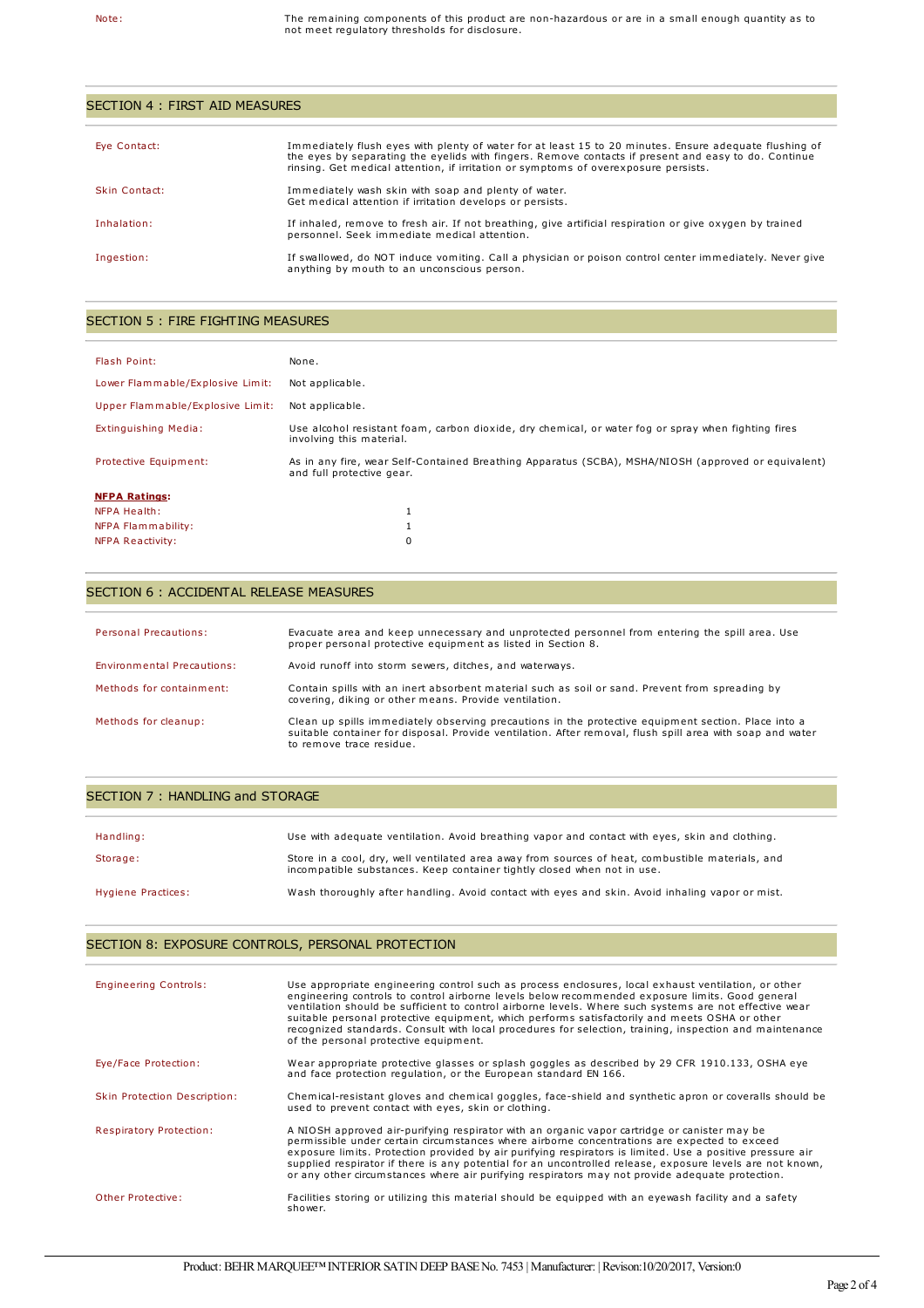| SECTION 4 : FIRST AID MEASURES |                                                                                                                                                                                                                                                                                                       |  |
|--------------------------------|-------------------------------------------------------------------------------------------------------------------------------------------------------------------------------------------------------------------------------------------------------------------------------------------------------|--|
|                                |                                                                                                                                                                                                                                                                                                       |  |
| Eye Contact:                   | Immediately flush eyes with plenty of water for at least 15 to 20 minutes. Ensure adequate flushing of<br>the eyes by separating the eyelids with fingers. Remove contacts if present and easy to do. Continue<br>rinsing. Get medical attention, if irritation or symptoms of overexposure persists. |  |
| Skin Contact:                  | Immediately wash skin with soap and plenty of water.<br>Get medical attention if irritation develops or persists.                                                                                                                                                                                     |  |
| Inhalation:                    | If inhaled, remove to fresh air. If not breathing, give artificial respiration or give oxygen by trained<br>personnel. Seek immediate medical attention.                                                                                                                                              |  |
| Ingestion:                     | If swallowed, do NOT induce vomiting. Call a physician or poison control center immediately. Never give<br>anything by mouth to an unconscious person.                                                                                                                                                |  |

## SECTION 5 : FIRE FIGHTING MEASURES

| Flash Point:                     | None.                                                                                                                            |
|----------------------------------|----------------------------------------------------------------------------------------------------------------------------------|
| Lower Flammable/Explosive Limit: | Not applicable.                                                                                                                  |
| Upper Flammable/Explosive Limit: | Not applicable.                                                                                                                  |
| Extinguishing Media:             | Use alcohol resistant foam, carbon dioxide, dry chemical, or water fog or spray when fighting fires<br>involving this material.  |
| Protective Equipment:            | As in any fire, wear Self-Contained Breathing Apparatus (SCBA), MSHA/NIOSH (approved or equivalent)<br>and full protective gear. |
| <b>NFPA Ratings:</b>             |                                                                                                                                  |
| <b>NFPA Health:</b>              |                                                                                                                                  |
| NFPA Flammability:               |                                                                                                                                  |
| NFPA Reactivity:                 | 0                                                                                                                                |

## SECTION 6 : ACCIDENTAL RELEASE MEASURES

| <b>Personal Precautions:</b> | Evacuate area and keep unnecessary and unprotected personnel from entering the spill area. Use<br>proper personal protective equipment as listed in Section 8.                                                                               |
|------------------------------|----------------------------------------------------------------------------------------------------------------------------------------------------------------------------------------------------------------------------------------------|
| Environmental Precautions:   | Avoid runoff into storm sewers, ditches, and waterways.                                                                                                                                                                                      |
| Methods for containment:     | Contain spills with an inert absorbent material such as soil or sand. Prevent from spreading by<br>covering, diking or other means. Provide ventilation.                                                                                     |
| Methods for cleanup:         | Clean up spills immediately observing precautions in the protective equipment section. Place into a<br>suitable container for disposal. Provide ventilation. After removal, flush spill area with soap and water<br>to remove trace residue. |

### SECTION 7 : HANDLING and STORAGE

| Handling:          | Use with adequate ventilation. Avoid breathing vapor and contact with eyes, skin and clothing.                                                                              |
|--------------------|-----------------------------------------------------------------------------------------------------------------------------------------------------------------------------|
| Storage:           | Store in a cool, dry, well ventilated area away from sources of heat, combustible materials, and<br>incompatible substances. Keep container tightly closed when not in use. |
| Hygiene Practices: | Wash thoroughly after handling. Avoid contact with eyes and skin. Avoid inhaling vapor or mist.                                                                             |

## SECTION 8: EXPOSURE CONTROLS, PERSONAL PROTECTION

| <b>Engineering Controls:</b>   | Use appropriate engineering control such as process enclosures, local exhaust ventilation, or other<br>engineering controls to control airborne levels below recommended exposure limits. Good general<br>ventilation should be sufficient to control airborne levels. Where such systems are not effective wear<br>suitable personal protective equipment, which performs satisfactorily and meets OSHA or other<br>recognized standards. Consult with local procedures for selection, training, inspection and maintenance<br>of the personal protective equipment. |
|--------------------------------|-----------------------------------------------------------------------------------------------------------------------------------------------------------------------------------------------------------------------------------------------------------------------------------------------------------------------------------------------------------------------------------------------------------------------------------------------------------------------------------------------------------------------------------------------------------------------|
| Eye/Face Protection:           | Wear appropriate protective glasses or splash goggles as described by 29 CFR 1910.133, OSHA eye<br>and face protection regulation, or the European standard EN 166.                                                                                                                                                                                                                                                                                                                                                                                                   |
| Skin Protection Description:   | Chemical-resistant gloves and chemical goggles, face-shield and synthetic apron or coveralls should be<br>used to prevent contact with eyes, skin or clothing.                                                                                                                                                                                                                                                                                                                                                                                                        |
| <b>Respiratory Protection:</b> | A NIOSH approved air-purifying respirator with an organic vapor cartridge or canister may be<br>permissible under certain circumstances where airborne concentrations are expected to exceed<br>exposure limits. Protection provided by air purifying respirators is limited. Use a positive pressure air<br>supplied respirator if there is any potential for an uncontrolled release, exposure levels are not known,<br>or any other circumstances where air purifying respirators may not provide adequate protection.                                             |
| Other Protective:              | Facilities storing or utilizing this material should be equipped with an eyewash facility and a safety<br>shower.                                                                                                                                                                                                                                                                                                                                                                                                                                                     |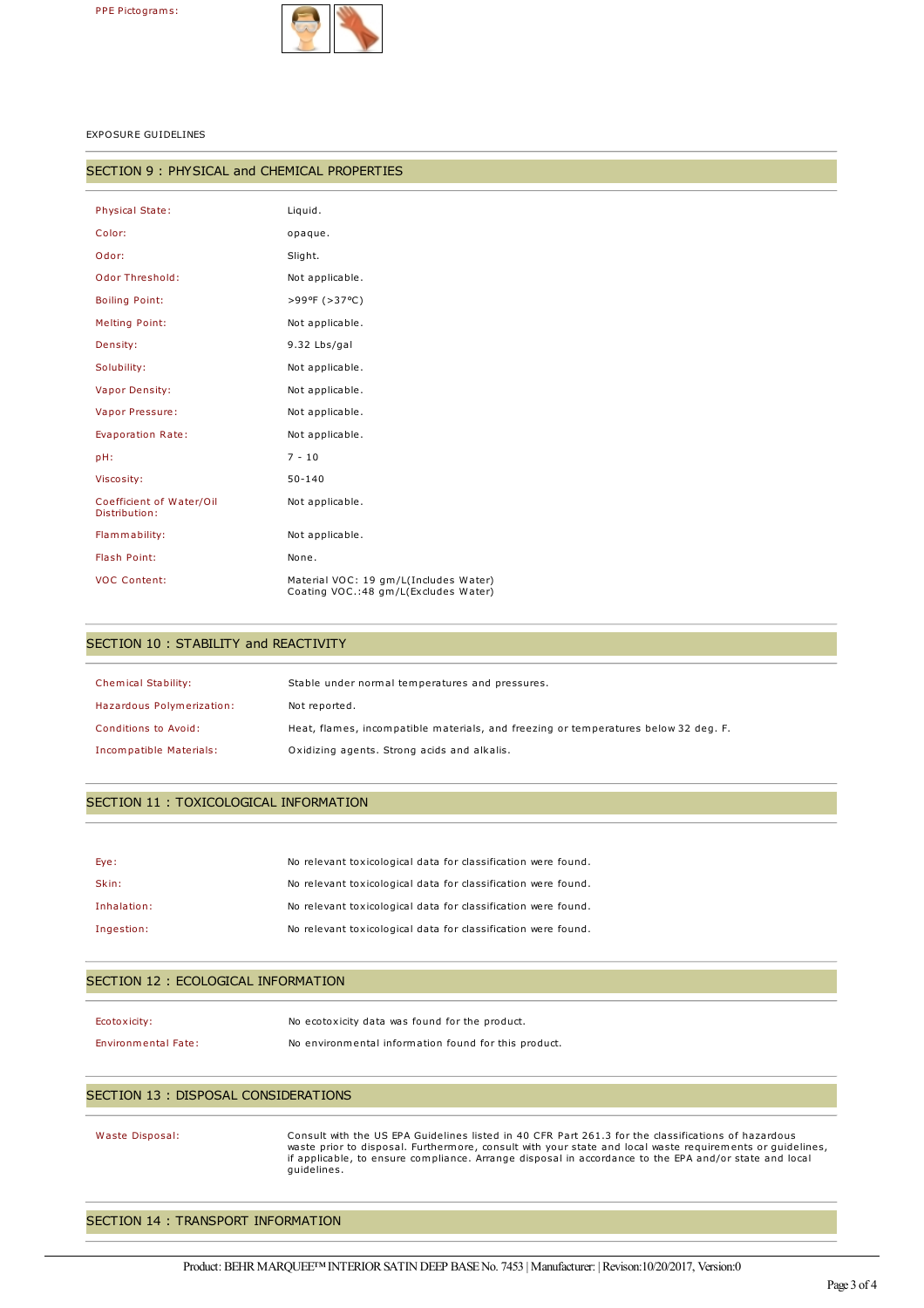

EXPOSURE GUIDELINES

#### SECTION 9 : PHYSICAL and CHEMICAL PROPERTIES

| <b>Physical State:</b>                    | Liquid.                                                                       |
|-------------------------------------------|-------------------------------------------------------------------------------|
| Color:                                    | opaque.                                                                       |
| Odor:                                     | Slight.                                                                       |
| Odor Threshold:                           | Not applicable.                                                               |
| <b>Boiling Point:</b>                     | >99ºF (>37°C)                                                                 |
| <b>Melting Point:</b>                     | Not applicable.                                                               |
| Density:                                  | 9.32 Lbs/gal                                                                  |
| Solubility:                               | Not applicable.                                                               |
| <b>Vapor Density:</b>                     | Not applicable.                                                               |
| Vapor Pressure:                           | Not applicable.                                                               |
| Evaporation Rate:                         | Not applicable.                                                               |
| pH:                                       | $7 - 10$                                                                      |
| Viscosity:                                | $50 - 140$                                                                    |
| Coefficient of Water/Oil<br>Distribution: | Not applicable.                                                               |
| Flammability:                             | Not applicable.                                                               |
| Flash Point:                              | None.                                                                         |
| <b>VOC Content:</b>                       | Material VOC: 19 gm/L(Includes Water)<br>Coating VOC.:48 gm/L(Excludes Water) |

## SECTION 10 : STABILITY and REACTIVITY

| <b>Chemical Stability:</b> | Stable under normal temperatures and pressures.                                     |
|----------------------------|-------------------------------------------------------------------------------------|
| Hazardous Polymerization:  | Not reported.                                                                       |
| Conditions to Avoid:       | Heat, flames, incompatible materials, and freezing or temperatures below 32 deg. F. |
| Incompatible Materials:    | Oxidizing agents. Strong acids and alkalis.                                         |

### SECTION 11 : TOXICOLOGICAL INFORMATION

| Eye:        | No relevant toxicological data for classification were found. |
|-------------|---------------------------------------------------------------|
| Skin:       | No relevant toxicological data for classification were found. |
| Inhalation: | No relevant toxicological data for classification were found. |
| Ingestion:  | No relevant toxicological data for classification were found. |

### SECTION 12 : ECOLOGICAL INFORMATION

| Ecotoxicity:               | No ecotoxicity data was found for the product.       |
|----------------------------|------------------------------------------------------|
| <b>Environmental Fate:</b> | No environmental information found for this product. |

### SECTION 13 : DISPOSAL CONSIDERATIONS

Waste Disposal: Consult with the US EPA Guidelines listed in 40 CFR Part 261.3 for the classifications of hazardous waste prior to disposal. Furthermore, consult with your state and local waste requirements or guidelines, if applicable, to ensure compliance. Arrange disposal in accordance to the EPA and/or state and local guidelines.

# SECTION 14 : TRANSPORT INFORMATION